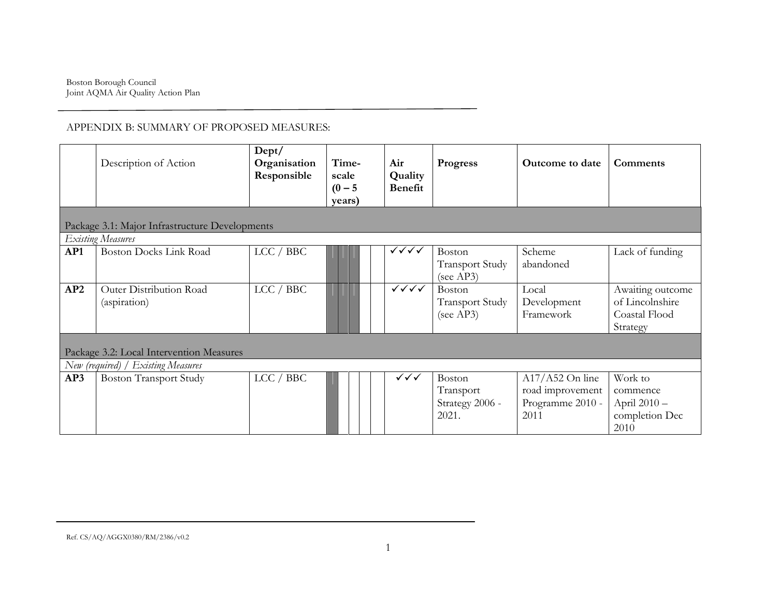|                                                | Description of Action                    | Dept/<br>Organisation<br>Responsible | Time-<br>scale<br>$(0 - 5)$<br>years) | Air<br>Quality<br><b>Benefit</b> | Progress               | Outcome to date   | Comments         |  |  |
|------------------------------------------------|------------------------------------------|--------------------------------------|---------------------------------------|----------------------------------|------------------------|-------------------|------------------|--|--|
| Package 3.1: Major Infrastructure Developments |                                          |                                      |                                       |                                  |                        |                   |                  |  |  |
|                                                | <b>Existing Measures</b>                 |                                      |                                       |                                  |                        |                   |                  |  |  |
| AP1                                            | <b>Boston Docks Link Road</b>            | LCC / BBC                            |                                       | $\checkmark\checkmark\checkmark$ | Boston                 | Scheme            | Lack of funding  |  |  |
|                                                |                                          |                                      |                                       |                                  | <b>Transport Study</b> | abandoned         |                  |  |  |
|                                                |                                          |                                      |                                       |                                  | (see AP3)              |                   |                  |  |  |
| AP2                                            | Outer Distribution Road                  | LCC / BBC                            |                                       | $\checkmark\checkmark\checkmark$ | Boston                 | Local             | Awaiting outcome |  |  |
|                                                | (aspiration)                             |                                      |                                       |                                  | <b>Transport Study</b> | Development       | of Lincolnshire  |  |  |
|                                                |                                          |                                      |                                       |                                  | (see AP3)              | Framework         | Coastal Flood    |  |  |
|                                                |                                          |                                      |                                       |                                  |                        |                   | Strategy         |  |  |
|                                                |                                          |                                      |                                       |                                  |                        |                   |                  |  |  |
|                                                | Package 3.2: Local Intervention Measures |                                      |                                       |                                  |                        |                   |                  |  |  |
|                                                | New (required) / Existing Measures       |                                      |                                       |                                  |                        |                   |                  |  |  |
| AP3                                            | <b>Boston Transport Study</b>            | LCC / BBC                            |                                       | $\checkmark\checkmark\checkmark$ | Boston                 | $A17/A52$ On line | Work to          |  |  |
|                                                |                                          |                                      |                                       |                                  | Transport              | road improvement  | commence         |  |  |
|                                                |                                          |                                      |                                       |                                  | Strategy 2006 -        | Programme 2010 -  | April 2010 -     |  |  |
|                                                |                                          |                                      |                                       |                                  | 2021.                  | 2011              | completion Dec   |  |  |
|                                                |                                          |                                      |                                       |                                  |                        |                   | 2010             |  |  |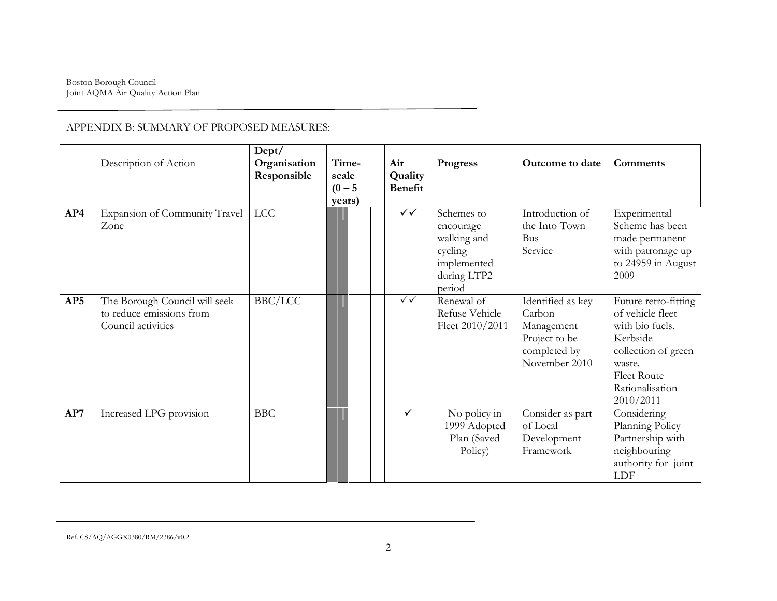|     | Description of Action                                                           | Dept/<br>Organisation<br>Responsible | Time-<br>scale<br>$(0 - 5)$<br>years) | Air<br>Quality<br><b>Benefit</b> | <b>Progress</b>                                                                           | Outcome to date                                                                             | Comments                                                                                                                                                |
|-----|---------------------------------------------------------------------------------|--------------------------------------|---------------------------------------|----------------------------------|-------------------------------------------------------------------------------------------|---------------------------------------------------------------------------------------------|---------------------------------------------------------------------------------------------------------------------------------------------------------|
| AP4 | Expansion of Community Travel<br>Zone                                           | LCC                                  |                                       | $\checkmark$                     | Schemes to<br>encourage<br>walking and<br>cycling<br>implemented<br>during LTP2<br>period | Introduction of<br>the Into Town<br><b>Bus</b><br>Service                                   | Experimental<br>Scheme has been<br>made permanent<br>with patronage up<br>to 24959 in August<br>2009                                                    |
| AP5 | The Borough Council will seek<br>to reduce emissions from<br>Council activities | BBC/LCC                              |                                       | $\checkmark$                     | Renewal of<br>Refuse Vehicle<br>Fleet 2010/2011                                           | Identified as key<br>Carbon<br>Management<br>Project to be<br>completed by<br>November 2010 | Future retro-fitting<br>of vehicle fleet<br>with bio fuels.<br>Kerbside<br>collection of green<br>waste.<br>Fleet Route<br>Rationalisation<br>2010/2011 |
| AP7 | Increased LPG provision                                                         | <b>BBC</b>                           |                                       | ✓                                | No policy in<br>1999 Adopted<br>Plan (Saved<br>Policy)                                    | Consider as part<br>of Local<br>Development<br>Framework                                    | Considering<br>Planning Policy<br>Partnership with<br>neighbouring<br>authority for joint<br>LDF                                                        |

#### Ref. CS/AQ/AGGX0380/RM/2386/v0.2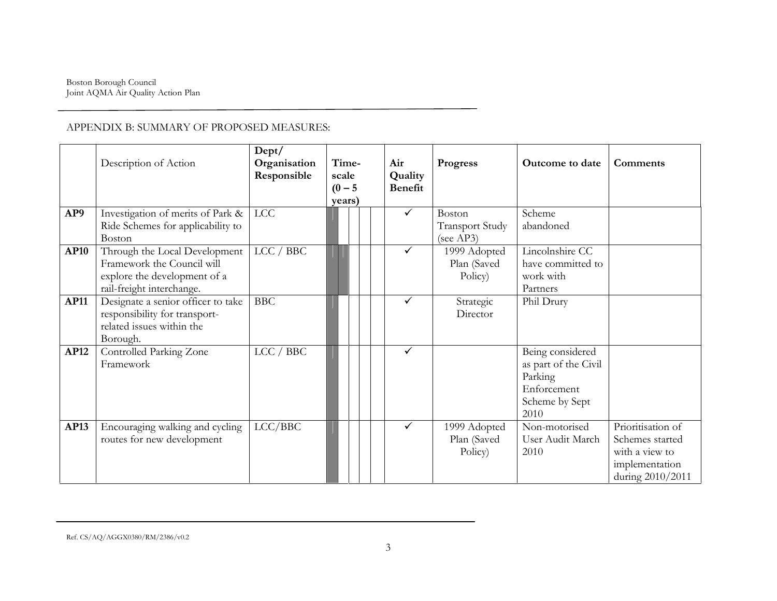|             | Description of Action                                                                                                    | Dept/<br>Organisation<br>Responsible | Time-<br>scale<br>$(0 - 5)$<br>years) |  | Air<br>Quality<br><b>Benefit</b> | <b>Progress</b>                                      | <b>Outcome to date</b>                                                                       | Comments                                                                                     |
|-------------|--------------------------------------------------------------------------------------------------------------------------|--------------------------------------|---------------------------------------|--|----------------------------------|------------------------------------------------------|----------------------------------------------------------------------------------------------|----------------------------------------------------------------------------------------------|
| AP9         | Investigation of merits of Park &<br>Ride Schemes for applicability to<br>Boston                                         | LCC                                  |                                       |  | $\checkmark$                     | <b>Boston</b><br><b>Transport Study</b><br>(see AP3) | Scheme<br>abandoned                                                                          |                                                                                              |
| <b>AP10</b> | Through the Local Development<br>Framework the Council will<br>explore the development of a<br>rail-freight interchange. | LCC / BBC                            |                                       |  | $\checkmark$                     | 1999 Adopted<br>Plan (Saved<br>Policy)               | Lincolnshire CC<br>have committed to<br>work with<br>Partners                                |                                                                                              |
| <b>AP11</b> | Designate a senior officer to take<br>responsibility for transport-<br>related issues within the<br>Borough.             | <b>BBC</b>                           |                                       |  | ✓                                | Strategic<br>Director                                | Phil Drury                                                                                   |                                                                                              |
| <b>AP12</b> | Controlled Parking Zone<br>Framework                                                                                     | LCC / BBC                            |                                       |  | $\checkmark$                     |                                                      | Being considered<br>as part of the Civil<br>Parking<br>Enforcement<br>Scheme by Sept<br>2010 |                                                                                              |
| AP13        | Encouraging walking and cycling<br>routes for new development                                                            | LCC/BBC                              |                                       |  | $\checkmark$                     | 1999 Adopted<br>Plan (Saved<br>Policy)               | Non-motorised<br>User Audit March<br>2010                                                    | Prioritisation of<br>Schemes started<br>with a view to<br>implementation<br>during 2010/2011 |

#### Ref. CS/AQ/AGGX0380/RM/2386/v0.2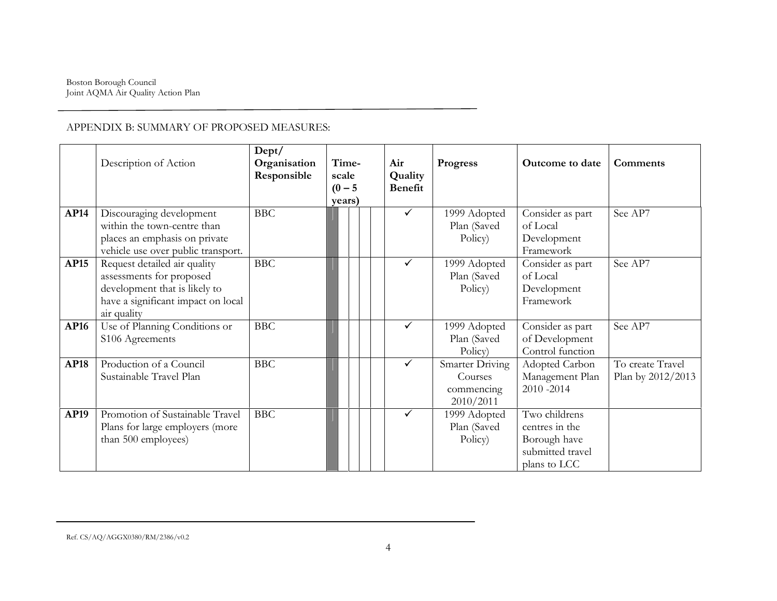|             | Description of Action                                                                                                                          | Dept/<br>Organisation<br>Responsible | Time-<br>scale<br>$(0 - 5)$<br>years) | Air<br>Quality<br>Benefit | <b>Progress</b>                                       | Outcome to date                                                                     | Comments                              |
|-------------|------------------------------------------------------------------------------------------------------------------------------------------------|--------------------------------------|---------------------------------------|---------------------------|-------------------------------------------------------|-------------------------------------------------------------------------------------|---------------------------------------|
| <b>AP14</b> | Discouraging development<br>within the town-centre than<br>places an emphasis on private<br>vehicle use over public transport.                 | <b>BBC</b>                           |                                       | $\checkmark$              | 1999 Adopted<br>Plan (Saved<br>Policy)                | Consider as part<br>of Local<br>Development<br>Framework                            | See AP7                               |
| <b>AP15</b> | Request detailed air quality<br>assessments for proposed<br>development that is likely to<br>have a significant impact on local<br>air quality | <b>BBC</b>                           |                                       | ✓                         | 1999 Adopted<br>Plan (Saved<br>Policy)                | Consider as part<br>of Local<br>Development<br>Framework                            | See AP7                               |
| <b>AP16</b> | Use of Planning Conditions or<br>S106 Agreements                                                                                               | <b>BBC</b>                           |                                       | $\checkmark$              | 1999 Adopted<br>Plan (Saved<br>Policy)                | Consider as part<br>of Development<br>Control function                              | See AP7                               |
| <b>AP18</b> | Production of a Council<br>Sustainable Travel Plan                                                                                             | <b>BBC</b>                           |                                       | ✓                         | Smarter Driving<br>Courses<br>commencing<br>2010/2011 | Adopted Carbon<br>Management Plan<br>2010-2014                                      | To create Travel<br>Plan by 2012/2013 |
| AP19        | Promotion of Sustainable Travel<br>Plans for large employers (more<br>than 500 employees)                                                      | <b>BBC</b>                           |                                       | $\checkmark$              | 1999 Adopted<br>Plan (Saved<br>Policy)                | Two childrens<br>centres in the<br>Borough have<br>submitted travel<br>plans to LCC |                                       |

#### Ref. CS/AQ/AGGX0380/RM/2386/v0.2